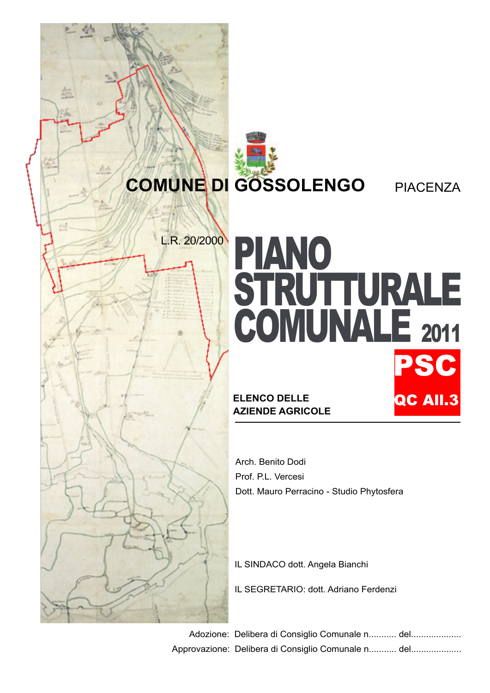## **COMUNE DI GOSSOLENGO** PIACENZA

## L.R. 20/2000 PIANO STRUTTURALE COMUNALE <sup>2011</sup> **ELENCO DELLE AZIENDE AGRICOLE** SC QC All.3

Arch. Benito Dodi Prof. P.L. Vercesi Dott. Mauro Perracino - Studio Phytosfera

IL SINDACO dott. Angela Bianchi

IL SEGRETARIO: dott. Adriano Ferdenzi

Adozione: Delibera di Consiglio Comunale n........... del................... Approvazione: Delibera di Consiglio Comunale n........... del...................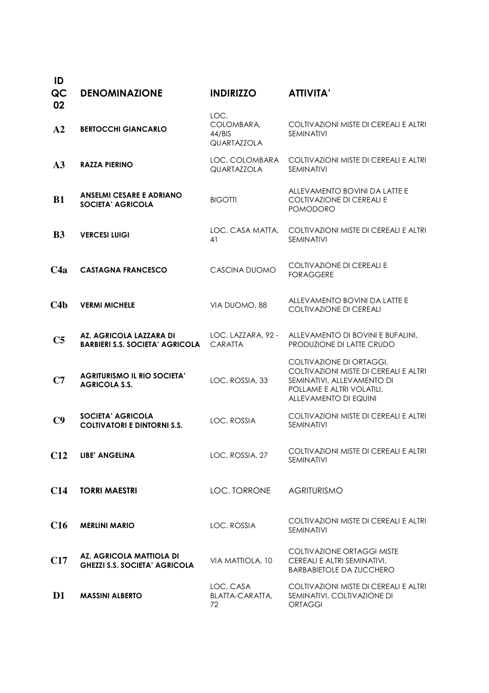| ID<br>QC<br>02 | <b>DENOMINAZIONE</b>                                              | <b>INDIRIZZO</b>                            | <b>ATTIVITA'</b>                                                                                                                                      |
|----------------|-------------------------------------------------------------------|---------------------------------------------|-------------------------------------------------------------------------------------------------------------------------------------------------------|
| A <sub>2</sub> | <b>BERTOCCHI GIANCARLO</b>                                        | LOC.<br>COLOMBARA,<br>44/BIS<br>QUARTAZZOLA | COLTIVAZIONI MISTE DI CEREALI E ALTRI<br><b>SEMINATIVI</b>                                                                                            |
| A3             | <b>RAZZA PIERINO</b>                                              | LOC. COLOMBARA<br>QUARTAZZOLA               | COLTIVAZIONI MISTE DI CEREALI E ALTRI<br><b>SEMINATIVI</b>                                                                                            |
| <b>B1</b>      | <b>ANSELMI CESARE E ADRIANO</b><br><b>SOCIETA' AGRICOLA</b>       | <b>BIGOTTI</b>                              | ALLEVAMENTO BOVINI DA LATTE E<br>COLTIVAZIONE DI CEREALI E<br><b>POMODORO</b>                                                                         |
| B <sub>3</sub> | <b>VERCESI LUIGI</b>                                              | LOC. CASA MATTA.<br>41                      | COLTIVAZIONI MISTE DI CEREALI E ALTRI<br><b>SEMINATIVI</b>                                                                                            |
| C4a            | <b>CASTAGNA FRANCESCO</b>                                         | CASCINA DUOMO                               | <b>COLTIVAZIONE DI CEREALI E</b><br><b>FORAGGERE</b>                                                                                                  |
| C4b            | <b>VERMI MICHELE</b>                                              | VIA DUOMO, 88                               | ALLEVAMENTO BOVINI DA LATTE E<br><b>COLTIVAZIONE DI CEREALI</b>                                                                                       |
| C <sub>5</sub> | AZ. AGRICOLA LAZZARA DI<br><b>BARBIERI S.S. SOCIETA' AGRICOLA</b> | LOC. LAZZARA, 92 -<br>CARATTA               | ALLEVAMENTO DI BOVINI E BUFALINI,<br>PRODUZIONE DI LATTE CRUDO                                                                                        |
| C7             | <b>AGRITURISMO IL RIO SOCIETA'</b><br><b>AGRICOLA S.S.</b>        | LOC. ROSSIA, 33                             | COLTIVAZIONE DI ORTAGGI,<br>COLTIVAZIONI MISTE DI CEREALI E ALTRI<br>SEMINATIVI, ALLEVAMENTO DI<br>POLLAME E ALTRI VOLATILI,<br>ALLEVAMENTO DI EQUINI |
| C9             | <b>SOCIETA' AGRICOLA</b><br><b>COLTIVATORI E DINTORNI S.S.</b>    | LOC. ROSSIA                                 | COLTIVAZIONI MISTE DI CEREALI E ALTRI<br><b>SEMINATIVI</b>                                                                                            |
| C12            | <b>LIBE' ANGELINA</b>                                             | LOC. ROSSIA, 27                             | COLTIVAZIONI MISTE DI CEREALI E ALTRI<br><b>SEMINATIVI</b>                                                                                            |
| <b>C14</b>     | <b>TORRI MAESTRI</b>                                              | LOC. TORRONE                                | <b>AGRITURISMO</b>                                                                                                                                    |
| C16            | <b>MERLINI MARIO</b>                                              | LOC. ROSSIA                                 | COLTIVAZIONI MISTE DI CEREALI E ALTRI<br><b>SEMINATIVI</b>                                                                                            |
| C17            | AZ. AGRICOLA MATTIOLA DI<br><b>GHEZZI S.S. SOCIETA' AGRICOLA</b>  | VIA MATTIOLA, 10                            | <b>COLTIVAZIONE ORTAGGI MISTE</b><br>CEREALI E ALTRI SEMINATIVI,<br><b>BARBABIETOLE DA ZUCCHERO</b>                                                   |
| D <sub>1</sub> | <b>MASSINI ALBERTO</b>                                            | LOC. CASA<br>BLATTA-CARATTA,<br>72          | COLTIVAZIONI MISTE DI CEREALI E ALTRI<br>SEMINATIVI, COLTIVAZIONE DI<br><b>ORTAGGI</b>                                                                |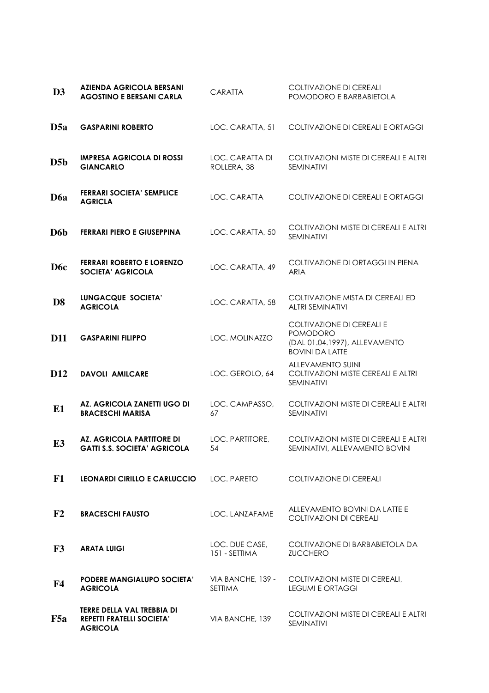| D3               | <b>AZIENDA AGRICOLA BERSANI</b><br><b>AGOSTINO E BERSANI CARLA</b>                | <b>CARATTA</b>                      | <b>COLTIVAZIONE DI CEREALI</b><br>POMODORO E BARBABIETOLA                                        |
|------------------|-----------------------------------------------------------------------------------|-------------------------------------|--------------------------------------------------------------------------------------------------|
| D5a              | <b>GASPARINI ROBERTO</b>                                                          | LOC. CARATTA, 51                    | COLTIVAZIONE DI CEREALI E ORTAGGI                                                                |
| D5b              | <b>IMPRESA AGRICOLA DI ROSSI</b><br><b>GIANCARLO</b>                              | LOC. CARATTA DI<br>ROLLERA, 38      | COLTIVAZIONI MISTE DI CEREALI E ALTRI<br><b>SEMINATIVI</b>                                       |
| D6a              | <b>FERRARI SOCIETA' SEMPLICE</b><br><b>AGRICLA</b>                                | LOC. CARATTA                        | COLTIVAZIONE DI CEREALI E ORTAGGI                                                                |
| D6b              | <b>FERRARI PIERO E GIUSEPPINA</b>                                                 | LOC. CARATTA, 50                    | COLTIVAZIONI MISTE DI CEREALI E ALTRI<br>SEMINATIVI                                              |
| D <sub>6</sub> c | <b>FERRARI ROBERTO E LORENZO</b><br><b>SOCIETA' AGRICOLA</b>                      | LOC. CARATTA, 49                    | COLTIVAZIONE DI ORTAGGI IN PIENA<br><b>ARIA</b>                                                  |
| D <sub>8</sub>   | <b>LUNGACQUE SOCIETA'</b><br><b>AGRICOLA</b>                                      | LOC. CARATTA, 58                    | COLTIVAZIONE MISTA DI CEREALI ED<br><b>ALTRI SEMINATIVI</b>                                      |
| <b>D11</b>       | <b>GASPARINI FILIPPO</b>                                                          | LOC. MOLINAZZO                      | COLTIVAZIONE DI CEREALI E<br>POMODORO<br>(DAL 01.04.1997), ALLEVAMENTO<br><b>BOVINI DA LATTE</b> |
| D <sub>12</sub>  | <b>DAVOLI AMILCARE</b>                                                            | LOC. GEROLO, 64                     | <b>ALLEVAMENTO SUINI</b><br>COLTIVAZIONI MISTE CEREALI E ALTRI<br>SEMINATIVI                     |
| E1               | AZ. AGRICOLA ZANETTI UGO DI<br><b>BRACESCHI MARISA</b>                            | LOC. CAMPASSO.<br>67                | COLTIVAZIONI MISTE DI CEREALI E ALTRI<br><b>SEMINATIVI</b>                                       |
| E <sub>3</sub>   | <b>AZ. AGRICOLA PARTITORE DI</b><br><b>GATTI S.S. SOCIETA' AGRICOLA</b>           | LOC. PARTITORE,<br>54               | COLTIVAZIONI MISTE DI CEREALI E ALTRI<br>SEMINATIVI, ALLEVAMENTO BOVINI                          |
| F1               | LEONARDI CIRILLO E CARLUCCIO                                                      | LOC. PARETO                         | COLTIVAZIONE DI CEREALI                                                                          |
| F2               | <b>BRACESCHI FAUSTO</b>                                                           | LOC. LANZAFAME                      | ALLEVAMENTO BOVINI DA LATTE E<br><b>COLTIVAZIONI DI CEREALI</b>                                  |
| F3               | <b>ARATA LUIGI</b>                                                                | LOC. DUE CASE.<br>151 - SETTIMA     | COLTIVAZIONE DI BARBABIETOLA DA<br><b>ZUCCHERO</b>                                               |
| F4               | <b>PODERE MANGIALUPO SOCIETA'</b><br><b>AGRICOLA</b>                              | VIA BANCHE, 139 -<br><b>SETTIMA</b> | COLTIVAZIONI MISTE DI CEREALI,<br><b>LEGUMI E ORTAGGI</b>                                        |
| F5a              | TERRE DELLA VAL TREBBIA DI<br><b>REPETTI FRATELLI SOCIETA'</b><br><b>AGRICOLA</b> | VIA BANCHE, 139                     | COLTIVAZIONI MISTE DI CEREALI E ALTRI<br><b>SEMINATIVI</b>                                       |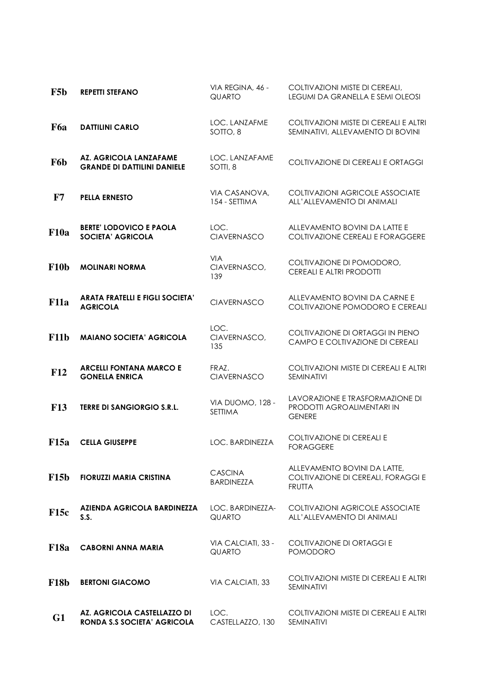| F5b           | <b>REPETTI STEFANO</b>                                       | VIA REGINA, 46 -<br><b>QUARTO</b>   | COLTIVAZIONI MISTE DI CEREALI,<br>LEGUMI DA GRANELLA E SEMI OLEOSI                  |
|---------------|--------------------------------------------------------------|-------------------------------------|-------------------------------------------------------------------------------------|
| F6a           | <b>DATTILINI CARLO</b>                                       | LOC. LANZAFME<br>SOTTO, 8           | COLTIVAZIONI MISTE DI CEREALI E ALTRI<br>SEMINATIVI, ALLEVAMENTO DI BOVINI          |
| F6b           | AZ. AGRICOLA LANZAFAME<br><b>GRANDE DI DATTILINI DANIELE</b> | LOC. LANZAFAME<br>SOTTI, 8          | COLTIVAZIONE DI CEREALI E ORTAGGI                                                   |
| $\mathbf{F7}$ | <b>PELLA ERNESTO</b>                                         | VIA CASANOVA,<br>154 - SETTIMA      | <b>COLTIVAZIONI AGRICOLE ASSOCIATE</b><br>ALL'ALLEVAMENTO DI ANIMALI                |
| <b>F10a</b>   | <b>BERTE' LODOVICO E PAOLA</b><br><b>SOCIETA' AGRICOLA</b>   | LOC.<br><b>CIAVERNASCO</b>          | ALLEVAMENTO BOVINI DA LATTE E<br>COLTIVAZIONE CEREALI E FORAGGERE                   |
| <b>F10b</b>   | <b>MOLINARI NORMA</b>                                        | <b>VIA</b><br>CIAVERNASCO,<br>139   | COLTIVAZIONE DI POMODORO,<br>CEREALI E ALTRI PRODOTTI                               |
| <b>F11a</b>   | <b>ARATA FRATELLI E FIGLI SOCIETA'</b><br><b>AGRICOLA</b>    | <b>CIAVERNASCO</b>                  | ALLEVAMENTO BOVINI DA CARNE E<br>COLTIVAZIONE POMODORO E CEREALI                    |
| F11b          | <b>MAIANO SOCIETA' AGRICOLA</b>                              | LOC.<br>CIAVERNASCO,<br>135         | COLTIVAZIONE DI ORTAGGI IN PIENO<br>CAMPO E COLTIVAZIONE DI CEREALI                 |
| F12           | <b>ARCELLI FONTANA MARCO E</b><br><b>GONELLA ENRICA</b>      | FRAZ.<br><b>CIAVERNASCO</b>         | COLTIVAZIONI MISTE DI CEREALI E ALTRI<br><b>SEMINATIVI</b>                          |
| <b>F13</b>    | <b>TERRE DI SANGIORGIO S.R.L.</b>                            | VIA DUOMO, 128 -<br><b>SETTIMA</b>  | LAVORAZIONE E TRASFORMAZIONE DI<br>PRODOTTI AGROALIMENTARI IN<br><b>GENERE</b>      |
| <b>F15a</b>   | <b>CELLA GIUSEPPE</b>                                        | LOC. BARDINEZZA                     | COLTIVAZIONE DI CEREALI E<br><b>FORAGGERE</b>                                       |
| <b>F15b</b>   | <b>FIORUZZI MARIA CRISTINA</b>                               | <b>CASCINA</b><br><b>BARDINEZZA</b> | ALLEVAMENTO BOVINI DA LATTE,<br>COLTIVAZIONE DI CEREALI, FORAGGI E<br><b>FRUTTA</b> |
| <b>F15c</b>   | AZIENDA AGRICOLA BARDINEZZA<br>S.S.                          | LOC. BARDINEZZA-<br><b>QUARTO</b>   | COLTIVAZIONI AGRICOLE ASSOCIATE<br>ALL'ALLEVAMENTO DI ANIMALI                       |
| <b>F18a</b>   | <b>CABORNI ANNA MARIA</b>                                    | VIA CALCIATI, 33 -<br><b>QUARTO</b> | COLTIVAZIONE DI ORTAGGI E<br><b>POMODORO</b>                                        |
| <b>F18b</b>   | <b>BERTONI GIACOMO</b>                                       | VIA CALCIATI, 33                    | COLTIVAZIONI MISTE DI CEREALI E ALTRI<br><b>SEMINATIVI</b>                          |
| G1            | AZ. AGRICOLA CASTELLAZZO DI<br>RONDA S.S SOCIETA' AGRICOLA   | LOC.<br>CASTELLAZZO, 130            | COLTIVAZIONI MISTE DI CEREALI E ALTRI<br><b>SEMINATIVI</b>                          |